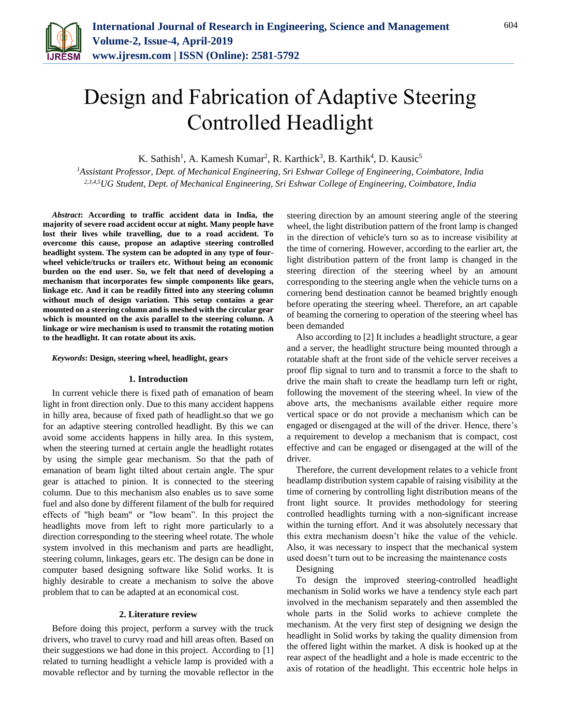

# Design and Fabrication of Adaptive Steering Controlled Headlight

K. Sathish<sup>1</sup>, A. Kamesh Kumar<sup>2</sup>, R. Karthick<sup>3</sup>, B. Karthik<sup>4</sup>, D. Kausic<sup>5</sup>

*<sup>1</sup>Assistant Professor, Dept. of Mechanical Engineering, Sri Eshwar College of Engineering, Coimbatore, India 2,3,4,5UG Student, Dept. of Mechanical Engineering, Sri Eshwar College of Engineering, Coimbatore, India*

*Abstract***: According to traffic accident data in India, the majority of severe road accident occur at night. Many people have lost their lives while travelling, due to a road accident. To overcome this cause, propose an adaptive steering controlled headlight system. The system can be adopted in any type of fourwheel vehicle/trucks or trailers etc. Without being an economic burden on the end user. So, we felt that need of developing a mechanism that incorporates few simple components like gears, linkage etc. And it can be readily fitted into any steering column without much of design variation. This setup contains a gear mounted on a steering column and is meshed with the circular gear which is mounted on the axis parallel to the steering column. A linkage or wire mechanism is used to transmit the rotating motion to the headlight. It can rotate about its axis.**

*Keywords***: Design, steering wheel, headlight, gears** 

## **1. Introduction**

In current vehicle there is fixed path of emanation of beam light in front direction only. Due to this many accident happens in hilly area, because of fixed path of headlight.so that we go for an adaptive steering controlled headlight. By this we can avoid some accidents happens in hilly area. In this system, when the steering turned at certain angle the headlight rotates by using the simple gear mechanism. So that the path of emanation of beam light tilted about certain angle. The spur gear is attached to pinion. It is connected to the steering column. Due to this mechanism also enables us to save some fuel and also done by different filament of the bulb for required effects of "high beam" or "low beam". In this project the headlights move from left to right more particularly to a direction corresponding to the steering wheel rotate. The whole system involved in this mechanism and parts are headlight, steering column, linkages, gears etc. The design can be done in computer based designing software like Solid works. It is highly desirable to create a mechanism to solve the above problem that to can be adapted at an economical cost.

# **2. Literature review**

Before doing this project, perform a survey with the truck drivers, who travel to curvy road and hill areas often. Based on their suggestions we had done in this project. According to [1] related to turning headlight a vehicle lamp is provided with a movable reflector and by turning the movable reflector in the

steering direction by an amount steering angle of the steering wheel, the light distribution pattern of the front lamp is changed in the direction of vehicle's turn so as to increase visibility at the time of cornering. However, according to the earlier art, the light distribution pattern of the front lamp is changed in the steering direction of the steering wheel by an amount corresponding to the steering angle when the vehicle turns on a cornering bend destination cannot be beamed brightly enough before operating the steering wheel. Therefore, an art capable of beaming the cornering to operation of the steering wheel has been demanded

Also according to [2] It includes a headlight structure, a gear and a server, the headlight structure being mounted through a rotatable shaft at the front side of the vehicle server receives a proof flip signal to turn and to transmit a force to the shaft to drive the main shaft to create the headlamp turn left or right, following the movement of the steering wheel. In view of the above arts, the mechanisms available either require more vertical space or do not provide a mechanism which can be engaged or disengaged at the will of the driver. Hence, there's a requirement to develop a mechanism that is compact, cost effective and can be engaged or disengaged at the will of the driver.

Therefore, the current development relates to a vehicle front headlamp distribution system capable of raising visibility at the time of cornering by controlling light distribution means of the front light source. It provides methodology for steering controlled headlights turning with a non-significant increase within the turning effort. And it was absolutely necessary that this extra mechanism doesn't hike the value of the vehicle. Also, it was necessary to inspect that the mechanical system used doesn't turn out to be increasing the maintenance costs

Designing

To design the improved steering-controlled headlight mechanism in Solid works we have a tendency style each part involved in the mechanism separately and then assembled the whole parts in the Solid works to achieve complete the mechanism. At the very first step of designing we design the headlight in Solid works by taking the quality dimension from the offered light within the market. A disk is hooked up at the rear aspect of the headlight and a hole is made eccentric to the axis of rotation of the headlight. This eccentric hole helps in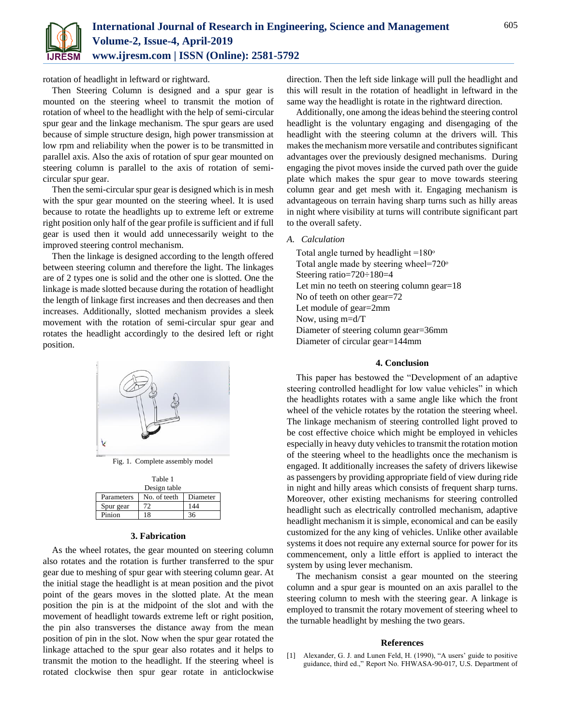

rotation of headlight in leftward or rightward.

Then Steering Column is designed and a spur gear is mounted on the steering wheel to transmit the motion of rotation of wheel to the headlight with the help of semi-circular spur gear and the linkage mechanism. The spur gears are used because of simple structure design, high power transmission at low rpm and reliability when the power is to be transmitted in parallel axis. Also the axis of rotation of spur gear mounted on steering column is parallel to the axis of rotation of semicircular spur gear.

Then the semi-circular spur gear is designed which is in mesh with the spur gear mounted on the steering wheel. It is used because to rotate the headlights up to extreme left or extreme right position only half of the gear profile is sufficient and if full gear is used then it would add unnecessarily weight to the improved steering control mechanism.

Then the linkage is designed according to the length offered between steering column and therefore the light. The linkages are of 2 types one is solid and the other one is slotted. One the linkage is made slotted because during the rotation of headlight the length of linkage first increases and then decreases and then increases. Additionally, slotted mechanism provides a sleek movement with the rotation of semi-circular spur gear and rotates the headlight accordingly to the desired left or right position.



Fig. 1. Complete assembly model

| Table 1      |              |          |
|--------------|--------------|----------|
| Design table |              |          |
| Parameters   | No. of teeth | Diameter |
| Spur gear    | 72           | 144      |
| Pinion       | 18           | 36       |

# **3. Fabrication**

As the wheel rotates, the gear mounted on steering column also rotates and the rotation is further transferred to the spur gear due to meshing of spur gear with steering column gear. At the initial stage the headlight is at mean position and the pivot point of the gears moves in the slotted plate. At the mean position the pin is at the midpoint of the slot and with the movement of headlight towards extreme left or right position, the pin also transverses the distance away from the mean position of pin in the slot. Now when the spur gear rotated the linkage attached to the spur gear also rotates and it helps to transmit the motion to the headlight. If the steering wheel is rotated clockwise then spur gear rotate in anticlockwise

direction. Then the left side linkage will pull the headlight and this will result in the rotation of headlight in leftward in the same way the headlight is rotate in the rightward direction.

Additionally, one among the ideas behind the steering control headlight is the voluntary engaging and disengaging of the headlight with the steering column at the drivers will. This makes the mechanism more versatile and contributes significant advantages over the previously designed mechanisms. During engaging the pivot moves inside the curved path over the guide plate which makes the spur gear to move towards steering column gear and get mesh with it. Engaging mechanism is advantageous on terrain having sharp turns such as hilly areas in night where visibility at turns will contribute significant part to the overall safety.

## *A. Calculation*

Total angle turned by headlight  $=180^\circ$ Total angle made by steering wheel= $720^\circ$ Steering ratio=720÷180=4 Let min no teeth on steering column gear=18 No of teeth on other gear=72 Let module of gear=2mm Now, using m=d/T Diameter of steering column gear=36mm Diameter of circular gear=144mm

#### **4. Conclusion**

This paper has bestowed the "Development of an adaptive steering controlled headlight for low value vehicles" in which the headlights rotates with a same angle like which the front wheel of the vehicle rotates by the rotation the steering wheel. The linkage mechanism of steering controlled light proved to be cost effective choice which might be employed in vehicles especially in heavy duty vehicles to transmit the rotation motion of the steering wheel to the headlights once the mechanism is engaged. It additionally increases the safety of drivers likewise as passengers by providing appropriate field of view during ride in night and hilly areas which consists of frequent sharp turns. Moreover, other existing mechanisms for steering controlled headlight such as electrically controlled mechanism, adaptive headlight mechanism it is simple, economical and can be easily customized for the any king of vehicles. Unlike other available systems it does not require any external source for power for its commencement, only a little effort is applied to interact the system by using lever mechanism.

The mechanism consist a gear mounted on the steering column and a spur gear is mounted on an axis parallel to the steering column to mesh with the steering gear. A linkage is employed to transmit the rotary movement of steering wheel to the turnable headlight by meshing the two gears.

### **References**

[1] Alexander, G. J. and Lunen Feld, H. (1990), "A users' guide to positive guidance, third ed.," Report No. FHWASA-90-017, U.S. Department of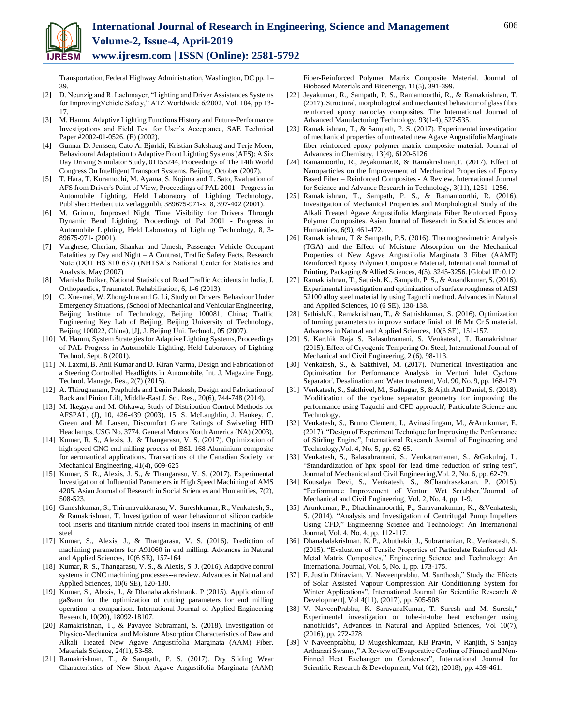Transportation, Federal Highway Administration, Washington, DC pp. 1– 39.

- [2] D. Neunzig and R. Lachmayer, "Lighting and Driver Assistances Systems for ImprovingVehicle Safety," ATZ Worldwide 6/2002, Vol. 104, pp 13- 17.
- [3] M. Hamm, Adaptive Lighting Functions History and Future-Performance Investigations and Field Test for User's Acceptance, SAE Technical Paper #2002-01-0526. (E) (2002).
- [4] Gunnar D. Jenssen, Cato A. Bjørkli, Kristian Sakshaug and Terje Moen, Behavioural Adaptation to Adaptive Front Lighting Systems (AFS): A Six Day Driving Simulator Study, 01155244, Proceedings of The 14th World Congress On Intelligent Transport Systems, Beijing, October (2007).
- [5] T. Hara, T. Kuramochi, M. Ayama, S. Kojima and T. Sato, Evaluation of AFS from Driver's Point of View, Proceedings of PAL 2001 - Progress in Automobile Lighting, Held Laboratory of Lighting Technology, Publisher: Herbert utz verlaggmbh, 389675-971-x, 8, 397-402 (2001).
- [6] M. Grimm, Improved Night Time Visibility for Drivers Through Dynamic Bend Lighting, Proceedings of Pal 2001 - Progress in Automobile Lighting, Held Laboratory of Lighting Technology, 8, 3- 89675-971- (2001).
- [7] Varghese, Cherian, Shankar and Umesh, Passenger Vehicle Occupant Fatalities by Day and Night – A Contrast, Traffic Safety Facts, Research Note (DOT HS 810 637) (NHTSA's National Center for Statistics and Analysis, May (2007)
- [8] Manisha Ruikar, National Statistics of Road Traffic Accidents in India, J. Orthopaedics, Traumatol. Rehabilitation, 6, 1-6 (2013).
- C. Xue-mei, W. Zhong-hua and G. Li, Study on Drivers' Behaviour Under Emergency Situations, (School of Mechanical and Vehicular Engineering, Beijing Institute of Technology, Beijing 100081, China; Traffic Engineering Key Lab of Beijing, Beijing University of Technology, Beijing 100022, China), [J], J. Beijing Uni. Technol., 05 (2007).
- [10] M. Hamm, System Strategies for Adaptive Lighting Systems, Proceedings of PAL Progress in Automobile Lighting, Held Laboratory of Lighting Technol. Sept. 8 (2001).
- [11] N. Laxmi, B. Anil Kumar and D. Kiran Varma, Design and Fabrication of a Steering Controlled Headlights in Automobile, Int. J. Magazine Engg. Technol. Manage. Res., 2(7) (2015).
- [12] A. Thirugnanam, Praphulds and Lenin Rakesh, Design and Fabrication of Rack and Pinion Lift, Middle-East J. Sci. Res., 20(6), 744-748 (2014).
- [13] M. Ikegaya and M. Ohkawa, Study of Distribution Control Methods for AFSPAL, (J), 10, 426-439 (2003). 15. S. McLaughlin, J. Hankey, C. Green and M. Larsen, Discomfort Glare Ratings of Swiveling HID Headlamps, USG No. 3774, General Motors North America (NA) (2003).
- [14] Kumar, R. S., Alexis, J., & Thangarasu, V. S. (2017). Optimization of high speed CNC end milling process of BSL 168 Aluminium composite for aeronautical applications. Transactions of the Canadian Society for Mechanical Engineering, 41(4), 609-625
- [15] Kumar, S. R., Alexis, J. S., & Thangarasu, V. S. (2017). Experimental Investigation of Influential Parameters in High Speed Machining of AMS 4205. Asian Journal of Research in Social Sciences and Humanities, 7(2), 508-523.
- [16] Ganeshkumar, S., Thirunavukkarasu, V., Sureshkumar, R., Venkatesh, S., & Ramakrishnan, T. Investigation of wear behaviour of silicon carbide tool inserts and titanium nitride coated tool inserts in machining of en8 steel
- [17] Kumar, S., Alexis, J., & Thangarasu, V. S. (2016). Prediction of machining parameters for A91060 in end milling. Advances in Natural and Applied Sciences, 10(6 SE), 157-164
- [18] Kumar, R. S., Thangarasu, V. S., & Alexis, S. J. (2016). Adaptive control systems in CNC machining processes--a review. Advances in Natural and Applied Sciences, 10(6 SE), 120-130.
- [19] Kumar, S., Alexis, J., & Dhanabalakrishnank. P (2015). Application of ga&ann for the optimization of cutting parameters for end milling operation- a comparison. International Journal of Applied Engineering Research, 10(20), 18092-18107.
- [20] Ramakrishnan, T., & Pavayee Subramani, S. (2018). Investigation of Physico-Mechanical and Moisture Absorption Characteristics of Raw and Alkali Treated New Agave Angustifolia Marginata (AAM) Fiber. Materials Science, 24(1), 53-58.
- [21] Ramakrishnan, T., & Sampath, P. S. (2017). Dry Sliding Wear Characteristics of New Short Agave Angustifolia Marginata (AAM)

Fiber-Reinforced Polymer Matrix Composite Material. Journal of Biobased Materials and Bioenergy, 11(5), 391-399.

- [22] Jeyakumar, R., Sampath, P. S., Ramamoorthi, R., & Ramakrishnan, T. (2017). Structural, morphological and mechanical behaviour of glass fibre reinforced epoxy nanoclay composites. The International Journal of Advanced Manufacturing Technology, 93(1-4), 527-535.
- [23] Ramakrishnan, T., & Sampath, P. S. (2017). Experimental investigation of mechanical properties of untreated new Agave Angustifolia Marginata fiber reinforced epoxy polymer matrix composite material. Journal of Advances in Chemistry, 13(4), 6120-6126.
- [24] Ramamoorthi, R., Jeyakumar.R, & Ramakrishnan,T. (2017). Effect of Nanoparticles on the Improvement of Mechanical Properties of Epoxy Based Fiber – Reinforced Composites - A Review. International Journal for Science and Advance Research in Technology, 3(11), 1251- 1256.
- [25] Ramakrishnan, T., Sampath, P. S., & Ramamoorthi, R. (2016). Investigation of Mechanical Properties and Morphological Study of the Alkali Treated Agave Angustifolia Marginata Fiber Reinforced Epoxy Polymer Composites. Asian Journal of Research in Social Sciences and Humanities, 6(9), 461-472.
- [26] Ramakrishnan, T & Sampath, P.S. (2016). Thermogravimetric Analysis (TGA) and the Effect of Moisture Absorption on the Mechanical Properties of New Agave Angustifolia Marginata 3 Fiber (AAMF) Reinforced Epoxy Polymer Composite Material, International Journal of Printing, Packaging & Allied Sciences, 4(5), 3245-3256. [Global IF: 0.12]
- [27] Ramakrishnan, T., Sathish. K., Sampath, P. S., & Anandkumar, S. (2016). Experimental investigation and optimization of surface roughness of AISI 52100 alloy steel material by using Taguchi method. Advances in Natural and Applied Sciences, 10 (6 SE), 130-138.
- [28] Sathish.K., Ramakrishnan, T., & Sathishkumar, S. (2016). Optimization of turning parameters to improve surface finish of 16 Mn Cr 5 material. Advances in Natural and Applied Sciences, 10(6 SE), 151-157.
- [29] S. Karthik Raja S. Balasubramani, S. Venkatesh, T. Ramakrishnan (2015). Effect of Cryogenic Tempering On Steel, International Journal of Mechanical and Civil Engineering, 2 (6), 98-113.
- [30] Venkatesh, S., & Sakthivel, M. (2017). 'Numerical Investigation and Optimization for Performance Analysis in Venturi Inlet Cyclone Separator', Desalination and Water treatment, Vol. 90, No. 9, pp. 168-179.
- [31] Venkatesh, S., Sakthivel, M., Sudhagar, S, & Ajith Arul Daniel, S. (2018). 'Modification of the cyclone separator geometry for improving the performance using Taguchi and CFD approach', Particulate Science and Technology.
- [32] Venkatesh, S., Bruno Clement, I., Avinasilingam, M., &Arulkumar, E. (2017). "Design of Experiment Technique for Improving the Performance of Stirling Engine", International Research Journal of Engineering and Technology,Vol. 4, No. 5, pp. 62-65.
- [33] Venkatesh, S., Balasubramani, S., Venkatramanan, S., &Gokulraj, L. "Standardization of hpx spool for lead time reduction of string test", Journal of Mechanical and Civil Engineering,Vol. 2, No. 6, pp. 62-79.
- [34] Kousalya Devi, S., Venkatesh, S., &Chandrasekaran. P. (2015). "Performance Improvement of Venturi Wet Scrubber,"Journal of Mechanical and Civil Engineering, Vol. 2, No. 4, pp. 1-9.
- [35] Arunkumar, P., Dhachinamoorthi, P., Saravanakumar, K., &Venkatesh, S. (2014). "Analysis and Investigation of Centrifugal Pump Impellers Using CFD," Engineering Science and Technology: An International Journal, Vol. 4, No. 4, pp. 112-117.
- [36] Dhanabalakrishnan, K. P., Abuthakir, J., Subramanian, R., Venkatesh, S. (2015). "Evaluation of Tensile Properties of Particulate Reinforced Al-Metal Matrix Composites," Engineering Science and Technology: An International Journal, Vol. 5, No. 1, pp. 173-175.
- [37] F. Justin Dhiraviam, V. Naveenprabhu, M. Santhosh," Study the Effects of Solar Assisted Vapour Compression Air Conditioning System for Winter Applications", International Journal for Scientific Research & Development|, Vol 4(11), (2017), pp. 505-508
- [38] V. NaveenPrabhu, K. SaravanaKumar, T. Suresh and M. Suresh," Experimental investigation on tube-in-tube heat exchanger using nanofluids", Advances in Natural and Applied Sciences, Vol 10(7), (2016), pp. 272-278
- [39] V Naveenprabhu, D Mugeshkumaar, KB Pravin, V Ranjith, S Sanjay Arthanari Swamy," A Review of Evaporative Cooling of Finned and Non-Finned Heat Exchanger on Condenser", International Journal for Scientific Research & Development, Vol 6(2), (2018), pp. 459-461.